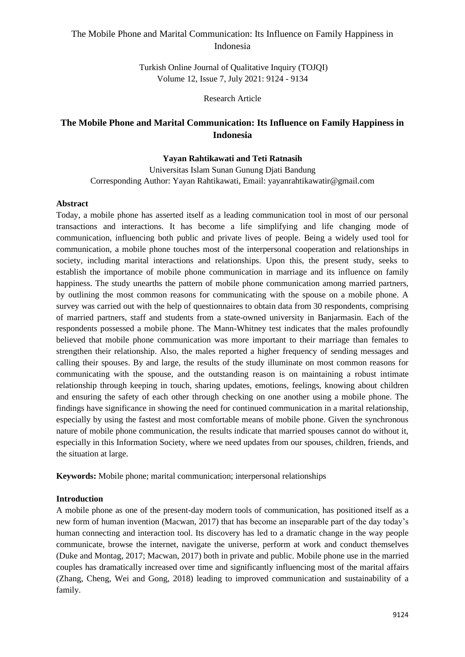Turkish Online Journal of Qualitative Inquiry (TOJQI) Volume 12, Issue 7, July 2021: 9124 - 9134

Research Article

# **The Mobile Phone and Marital Communication: Its Influence on Family Happiness in Indonesia**

## **Yayan Rahtikawati and Teti Ratnasih**

Universitas Islam Sunan Gunung Djati Bandung Corresponding Author: Yayan Rahtikawati, Email: yayanrahtikawatir@gmail.com

### **Abstract**

Today, a mobile phone has asserted itself as a leading communication tool in most of our personal transactions and interactions. It has become a life simplifying and life changing mode of communication, influencing both public and private lives of people. Being a widely used tool for communication, a mobile phone touches most of the interpersonal cooperation and relationships in society, including marital interactions and relationships. Upon this, the present study, seeks to establish the importance of mobile phone communication in marriage and its influence on family happiness. The study unearths the pattern of mobile phone communication among married partners, by outlining the most common reasons for communicating with the spouse on a mobile phone. A survey was carried out with the help of questionnaires to obtain data from 30 respondents, comprising of married partners, staff and students from a state-owned university in Banjarmasin. Each of the respondents possessed a mobile phone. The Mann-Whitney test indicates that the males profoundly believed that mobile phone communication was more important to their marriage than females to strengthen their relationship. Also, the males reported a higher frequency of sending messages and calling their spouses. By and large, the results of the study illuminate on most common reasons for communicating with the spouse, and the outstanding reason is on maintaining a robust intimate relationship through keeping in touch, sharing updates, emotions, feelings, knowing about children and ensuring the safety of each other through checking on one another using a mobile phone. The findings have significance in showing the need for continued communication in a marital relationship, especially by using the fastest and most comfortable means of mobile phone. Given the synchronous nature of mobile phone communication, the results indicate that married spouses cannot do without it, especially in this Information Society, where we need updates from our spouses, children, friends, and the situation at large.

**Keywords:** Mobile phone; marital communication; interpersonal relationships

## **Introduction**

A mobile phone as one of the present-day modern tools of communication, has positioned itself as a new form of human invention (Macwan, 2017) that has become an inseparable part of the day today's human connecting and interaction tool. Its discovery has led to a dramatic change in the way people communicate, browse the internet, navigate the universe, perform at work and conduct themselves (Duke and Montag, 2017; Macwan, 2017) both in private and public. Mobile phone use in the married couples has dramatically increased over time and significantly influencing most of the marital affairs (Zhang, Cheng, Wei and Gong, 2018) leading to improved communication and sustainability of a family.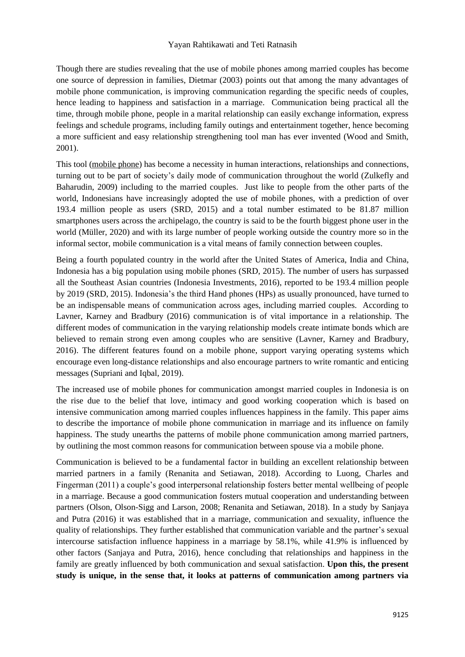#### Yayan Rahtikawati and Teti Ratnasih

Though there are studies revealing that the use of mobile phones among married couples has become one source of depression in families, Dietmar (2003) points out that among the many advantages of mobile phone communication, is improving communication regarding the specific needs of couples, hence leading to happiness and satisfaction in a marriage. Communication being practical all the time, through mobile phone, people in a marital relationship can easily exchange information, express feelings and schedule programs, including family outings and entertainment together, hence becoming a more sufficient and easy relationship strengthening tool man has ever invented (Wood and Smith, 2001).

This tool (mobile phone) has become a necessity in human interactions, relationships and connections, turning out to be part of society's daily mode of communication throughout the world (Zulkefly and Baharudin, 2009) including to the married couples. Just like to people from the other parts of the world, Indonesians have increasingly adopted the use of mobile phones, with a prediction of over 193.4 million people as users [\(SRD,](https://www.statista.com/aboutus/our-research-commitment) 2015) and a total number estimated to be 81.87 million smartphones users across the archipelago, the country is said to be the fourth biggest phone user in the world [\(Müller,](https://www.statista.com/aboutus/our-research-commitment/1781/j-mueller) 2020) and with its large number of people working outside the country more so in the informal sector, mobile communication is a vital means of family connection between couples.

Being a fourth populated country in the world after the United States of America, India and China, Indonesia has a big population using mobile phones [\(SRD,](https://www.statista.com/aboutus/our-research-commitment) 2015). The number of users has surpassed all the Southeast Asian countries (Indonesia Investments, 2016), reported to be 193.4 million people by 2019 (SRD, 2015). Indonesia's the third Hand phones (HPs) as usually pronounced, have turned to be an indispensable means of communication across ages, including married couples. According to Lavner, Karney and Bradbury (2016) communication is of vital importance in a relationship. The different modes of communication in the varying relationship models create intimate bonds which are believed to remain strong even among couples who are sensitive (Lavner, Karney and Bradbury, 2016). The different features found on a mobile phone, support varying operating systems which encourage even long-distance relationships and also encourage partners to write romantic and enticing messages (Supriani and Iqbal, 2019).

The increased use of mobile phones for communication amongst married couples in Indonesia is on the rise due to the belief that love, intimacy and good working cooperation which is based on intensive communication among married couples influences happiness in the family. This paper aims to describe the importance of mobile phone communication in marriage and its influence on family happiness. The study unearths the patterns of mobile phone communication among married partners, by outlining the most common reasons for communication between spouse via a mobile phone.

Communication is believed to be a fundamental factor in building an excellent relationship between married partners in a family (Renanita and Setiawan, 2018). According to Luong, Charles and Fingerman (2011) a couple's good interpersonal relationship fosters better mental wellbeing of people in a marriage. Because a good communication fosters mutual cooperation and understanding between partners (Olson, Olson-Sigg and Larson, 2008; Renanita and Setiawan, 2018). In a study by Sanjaya and Putra (2016) it was established that in a marriage, communication and sexuality, influence the quality of relationships. They further established that communication variable and the partner's sexual intercourse satisfaction influence happiness in a marriage by 58.1%, while 41.9% is influenced by other factors (Sanjaya and Putra, 2016), hence concluding that relationships and happiness in the family are greatly influenced by both communication and sexual satisfaction. **Upon this, the present study is unique, in the sense that, it looks at patterns of communication among partners via**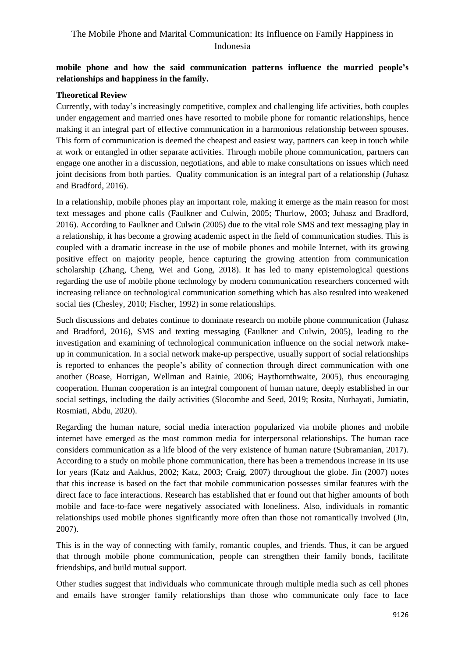## **mobile phone and how the said communication patterns influence the married people's relationships and happiness in the family.**

### **Theoretical Review**

Currently, with today's increasingly competitive, complex and challenging life activities, both couples under engagement and married ones have resorted to mobile phone for romantic relationships, hence making it an integral part of effective communication in a harmonious relationship between spouses. This form of communication is deemed the cheapest and easiest way, partners can keep in touch while at work or entangled in other separate activities. Through mobile phone communication, partners can engage one another in a discussion, negotiations, and able to make consultations on issues which need joint decisions from both parties. Quality communication is an integral part of a relationship (Juhasz and Bradford, 2016).

In a relationship, mobile phones play an important role, making it emerge as the main reason for most text messages and phone calls (Faulkner and Culwin, 2005; Thurlow, 2003; Juhasz and Bradford, 2016). According to Faulkner and Culwin (2005) due to the vital role SMS and text messaging play in a relationship, it has become a growing academic aspect in the field of communication studies. This is coupled with a dramatic increase in the use of mobile phones and mobile Internet, with its growing positive effect on majority people, hence capturing the growing attention from communication scholarship (Zhang, Cheng, Wei and Gong, 2018). It has led to many epistemological questions regarding the use of mobile phone technology by modern communication researchers concerned with increasing reliance on technological communication something which has also resulted into weakened social ties (Chesley, 2010; Fischer, 1992) in some relationships.

Such discussions and debates continue to dominate research on mobile phone communication (Juhasz and Bradford, 2016), SMS and texting messaging (Faulkner and Culwin, 2005), leading to the investigation and examining of technological communication influence on the social network makeup in communication. In a social network make-up perspective, usually support of social relationships is reported to enhances the people's ability of connection through direct communication with one another (Boase, Horrigan, Wellman and Rainie, 2006; Haythornthwaite, 2005), thus encouraging cooperation. Human cooperation is an integral component of human nature, deeply established in our social settings, including the daily activities (Slocombe and Seed, 2019; Rosita, Nurhayati, Jumiatin, Rosmiati, Abdu, 2020).

Regarding the human nature, social media interaction popularized via mobile phones and mobile internet have emerged as the most common media for interpersonal relationships. The human race considers communication as a life blood of the very existence of human nature (Subramanian, 2017). According to a study on mobile phone communication, there has been a tremendous increase in its use for years (Katz and Aakhus, 2002; Katz, 2003; Craig, 2007) throughout the globe. Jin (2007) notes that this increase is based on the fact that mobile communication possesses similar features with the direct face to face interactions. Research has established that er found out that higher amounts of both mobile and face-to-face were negatively associated with loneliness. Also, individuals in romantic relationships used mobile phones significantly more often than those not romantically involved (Jin, 2007).

This is in the way of connecting with family, romantic couples, and friends. Thus, it can be argued that through mobile phone communication, people can strengthen their family bonds, facilitate friendships, and build mutual support.

Other studies suggest that individuals who communicate through multiple media such as cell phones and emails have stronger family relationships than those who communicate only face to face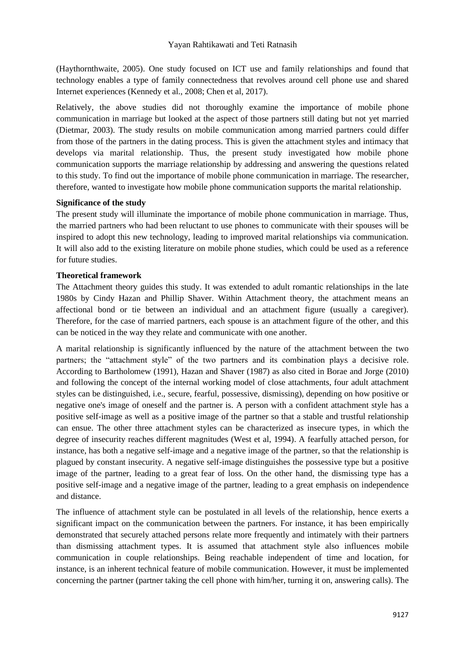(Haythornthwaite, 2005). One study focused on ICT use and family relationships and found that technology enables a type of family connectedness that revolves around cell phone use and shared Internet experiences (Kennedy et al., 2008; Chen et al, 2017).

Relatively, the above studies did not thoroughly examine the importance of mobile phone communication in marriage but looked at the aspect of those partners still dating but not yet married (Dietmar, 2003). The study results on mobile communication among married partners could differ from those of the partners in the dating process. This is given the attachment styles and intimacy that develops via marital relationship. Thus, the present study investigated how mobile phone communication supports the marriage relationship by addressing and answering the questions related to this study. To find out the importance of mobile phone communication in marriage. The researcher, therefore, wanted to investigate how mobile phone communication supports the marital relationship.

#### **Significance of the study**

The present study will illuminate the importance of mobile phone communication in marriage. Thus, the married partners who had been reluctant to use phones to communicate with their spouses will be inspired to adopt this new technology, leading to improved marital relationships via communication. It will also add to the existing literature on mobile phone studies, which could be used as a reference for future studies.

### **Theoretical framework**

The Attachment theory guides this study. It was extended to adult romantic relationships in the late 1980s by Cindy Hazan and Phillip Shaver. Within Attachment theory, the attachment means an affectional bond or tie between an individual and an attachment figure (usually a caregiver). Therefore, for the case of married partners, each spouse is an attachment figure of the other, and this can be noticed in the way they relate and communicate with one another.

A marital relationship is significantly influenced by the nature of the attachment between the two partners; the "attachment style" of the two partners and its combination plays a decisive role. According to Bartholomew (1991), Hazan and Shaver (1987) as also cited in Borae and Jorge (2010) and following the concept of the internal working model of close attachments, four adult attachment styles can be distinguished, i.e., secure, fearful, possessive, dismissing), depending on how positive or negative one's image of oneself and the partner is. A person with a confident attachment style has a positive self-image as well as a positive image of the partner so that a stable and trustful relationship can ensue. The other three attachment styles can be characterized as insecure types, in which the degree of insecurity reaches different magnitudes (West et al, 1994). A fearfully attached person, for instance, has both a negative self-image and a negative image of the partner, so that the relationship is plagued by constant insecurity. A negative self-image distinguishes the possessive type but a positive image of the partner, leading to a great fear of loss. On the other hand, the dismissing type has a positive self-image and a negative image of the partner, leading to a great emphasis on independence and distance.

The influence of attachment style can be postulated in all levels of the relationship, hence exerts a significant impact on the communication between the partners. For instance, it has been empirically demonstrated that securely attached persons relate more frequently and intimately with their partners than dismissing attachment types. It is assumed that attachment style also influences mobile communication in couple relationships. Being reachable independent of time and location, for instance, is an inherent technical feature of mobile communication. However, it must be implemented concerning the partner (partner taking the cell phone with him/her, turning it on, answering calls). The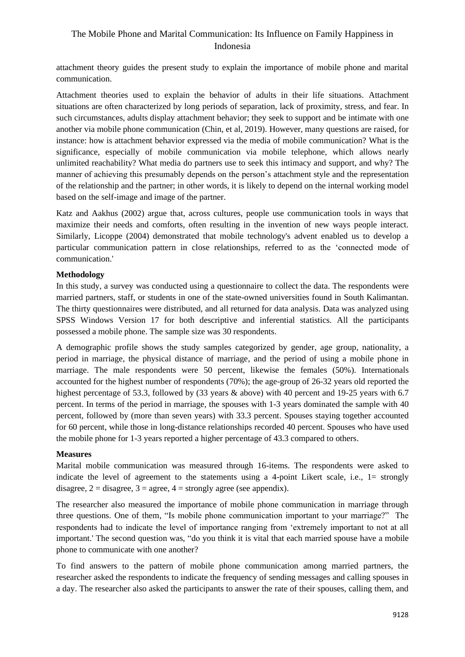attachment theory guides the present study to explain the importance of mobile phone and marital communication.

Attachment theories used to explain the behavior of adults in their life situations. Attachment situations are often characterized by long periods of separation, lack of proximity, stress, and fear. In such circumstances, adults display attachment behavior; they seek to support and be intimate with one another via mobile phone communication (Chin, et al, 2019). However, many questions are raised, for instance: how is attachment behavior expressed via the media of mobile communication? What is the significance, especially of mobile communication via mobile telephone, which allows nearly unlimited reachability? What media do partners use to seek this intimacy and support, and why? The manner of achieving this presumably depends on the person's attachment style and the representation of the relationship and the partner; in other words, it is likely to depend on the internal working model based on the self-image and image of the partner.

Katz and Aakhus (2002) argue that, across cultures, people use communication tools in ways that maximize their needs and comforts, often resulting in the invention of new ways people interact. Similarly, Licoppe (2004) demonstrated that mobile technology's advent enabled us to develop a particular communication pattern in close relationships, referred to as the 'connected mode of communication.'

### **Methodology**

In this study, a survey was conducted using a questionnaire to collect the data. The respondents were married partners, staff, or students in one of the state-owned universities found in South Kalimantan. The thirty questionnaires were distributed, and all returned for data analysis. Data was analyzed using SPSS Windows Version 17 for both descriptive and inferential statistics. All the participants possessed a mobile phone. The sample size was 30 respondents.

A demographic profile shows the study samples categorized by gender, age group, nationality, a period in marriage, the physical distance of marriage, and the period of using a mobile phone in marriage. The male respondents were 50 percent, likewise the females (50%). Internationals accounted for the highest number of respondents (70%); the age-group of 26-32 years old reported the highest percentage of 53.3, followed by (33 years & above) with 40 percent and 19-25 years with 6.7 percent. In terms of the period in marriage, the spouses with 1-3 years dominated the sample with 40 percent, followed by (more than seven years) with 33.3 percent. Spouses staying together accounted for 60 percent, while those in long-distance relationships recorded 40 percent. Spouses who have used the mobile phone for 1-3 years reported a higher percentage of 43.3 compared to others.

#### **Measures**

Marital mobile communication was measured through 16-items. The respondents were asked to indicate the level of agreement to the statements using a 4-point Likert scale, i.e., 1= strongly disagree,  $2 =$  disagree,  $3 =$  agree,  $4 =$  strongly agree (see appendix).

The researcher also measured the importance of mobile phone communication in marriage through three questions. One of them, "Is mobile phone communication important to your marriage?" The respondents had to indicate the level of importance ranging from 'extremely important to not at all important.' The second question was, "do you think it is vital that each married spouse have a mobile phone to communicate with one another?

To find answers to the pattern of mobile phone communication among married partners, the researcher asked the respondents to indicate the frequency of sending messages and calling spouses in a day. The researcher also asked the participants to answer the rate of their spouses, calling them, and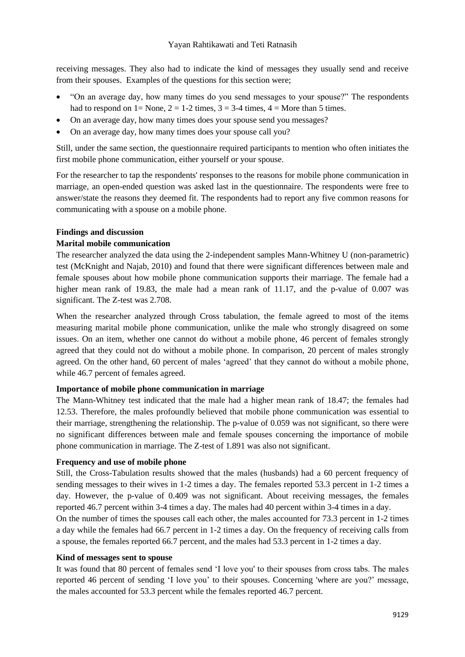receiving messages. They also had to indicate the kind of messages they usually send and receive from their spouses. Examples of the questions for this section were;

- "On an average day, how many times do you send messages to your spouse?" The respondents had to respond on  $1 = \text{None}$ ,  $2 = 1-2$  times,  $3 = 3-4$  times,  $4 = \text{More than 5 times}$ .
- On an average day, how many times does your spouse send you messages?
- On an average day, how many times does your spouse call you?

Still, under the same section, the questionnaire required participants to mention who often initiates the first mobile phone communication, either yourself or your spouse.

For the researcher to tap the respondents' responses to the reasons for mobile phone communication in marriage, an open-ended question was asked last in the questionnaire. The respondents were free to answer/state the reasons they deemed fit. The respondents had to report any five common reasons for communicating with a spouse on a mobile phone.

## **Findings and discussion**

## **Marital mobile communication**

The researcher analyzed the data using the 2-independent samples Mann-Whitney U (non-parametric) test (McKnight and Najab, 2010) and found that there were significant differences between male and female spouses about how mobile phone communication supports their marriage. The female had a higher mean rank of 19.83, the male had a mean rank of 11.17, and the p-value of 0.007 was significant. The Z-test was 2.708.

When the researcher analyzed through Cross tabulation, the female agreed to most of the items measuring marital mobile phone communication, unlike the male who strongly disagreed on some issues. On an item, whether one cannot do without a mobile phone, 46 percent of females strongly agreed that they could not do without a mobile phone. In comparison, 20 percent of males strongly agreed. On the other hand, 60 percent of males 'agreed' that they cannot do without a mobile phone, while 46.7 percent of females agreed.

## **Importance of mobile phone communication in marriage**

The Mann-Whitney test indicated that the male had a higher mean rank of 18.47; the females had 12.53. Therefore, the males profoundly believed that mobile phone communication was essential to their marriage, strengthening the relationship. The p-value of 0.059 was not significant, so there were no significant differences between male and female spouses concerning the importance of mobile phone communication in marriage. The Z-test of 1.891 was also not significant.

## **Frequency and use of mobile phone**

Still, the Cross-Tabulation results showed that the males (husbands) had a 60 percent frequency of sending messages to their wives in 1-2 times a day. The females reported 53.3 percent in 1-2 times a day. However, the p-value of 0.409 was not significant. About receiving messages, the females reported 46.7 percent within 3-4 times a day. The males had 40 percent within 3-4 times in a day.

On the number of times the spouses call each other, the males accounted for 73.3 percent in 1-2 times a day while the females had 66.7 percent in 1-2 times a day. On the frequency of receiving calls from a spouse, the females reported 66.7 percent, and the males had 53.3 percent in 1-2 times a day.

## **Kind of messages sent to spouse**

It was found that 80 percent of females send 'I love you' to their spouses from cross tabs. The males reported 46 percent of sending 'I love you' to their spouses. Concerning 'where are you?' message, the males accounted for 53.3 percent while the females reported 46.7 percent.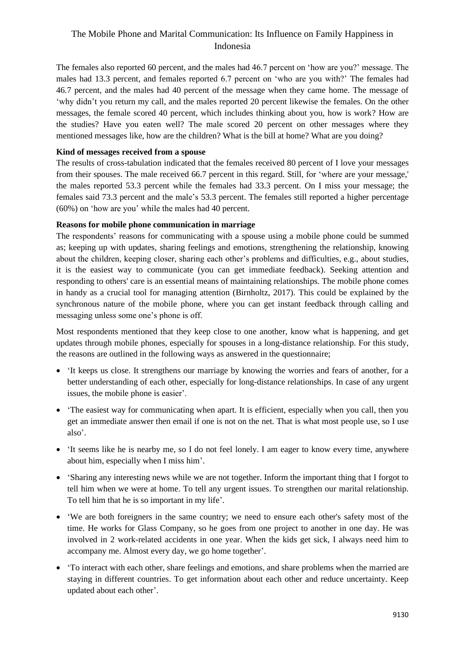The females also reported 60 percent, and the males had 46.7 percent on 'how are you?' message. The males had 13.3 percent, and females reported 6.7 percent on 'who are you with?' The females had 46.7 percent, and the males had 40 percent of the message when they came home. The message of 'why didn't you return my call, and the males reported 20 percent likewise the females. On the other messages, the female scored 40 percent, which includes thinking about you, how is work? How are the studies? Have you eaten well? The male scored 20 percent on other messages where they mentioned messages like, how are the children? What is the bill at home? What are you doing?

## **Kind of messages received from a spouse**

The results of cross-tabulation indicated that the females received 80 percent of I love your messages from their spouses. The male received 66.7 percent in this regard. Still, for 'where are your message,' the males reported 53.3 percent while the females had 33.3 percent. On I miss your message; the females said 73.3 percent and the male's 53.3 percent. The females still reported a higher percentage (60%) on 'how are you' while the males had 40 percent.

## **Reasons for mobile phone communication in marriage**

The respondents' reasons for communicating with a spouse using a mobile phone could be summed as; keeping up with updates, sharing feelings and emotions, strengthening the relationship, knowing about the children, keeping closer, sharing each other's problems and difficulties, e.g., about studies, it is the easiest way to communicate (you can get immediate feedback). Seeking attention and responding to others' care is an essential means of maintaining relationships. The mobile phone comes in handy as a crucial tool for managing attention (Birnholtz, 2017). This could be explained by the synchronous nature of the mobile phone, where you can get instant feedback through calling and messaging unless some one's phone is off.

Most respondents mentioned that they keep close to one another, know what is happening, and get updates through mobile phones, especially for spouses in a long-distance relationship. For this study, the reasons are outlined in the following ways as answered in the questionnaire;

- 'It keeps us close. It strengthens our marriage by knowing the worries and fears of another, for a better understanding of each other, especially for long-distance relationships. In case of any urgent issues, the mobile phone is easier'.
- The easiest way for communicating when apart. It is efficient, especially when you call, then you get an immediate answer then email if one is not on the net. That is what most people use, so I use also'.
- 'It seems like he is nearby me, so I do not feel lonely. I am eager to know every time, anywhere about him, especially when I miss him'.
- 'Sharing any interesting news while we are not together. Inform the important thing that I forgot to tell him when we were at home. To tell any urgent issues. To strengthen our marital relationship. To tell him that he is so important in my life'.
- 'We are both foreigners in the same country; we need to ensure each other's safety most of the time. He works for Glass Company, so he goes from one project to another in one day. He was involved in 2 work-related accidents in one year. When the kids get sick, I always need him to accompany me. Almost every day, we go home together'.
- 'To interact with each other, share feelings and emotions, and share problems when the married are staying in different countries. To get information about each other and reduce uncertainty. Keep updated about each other'.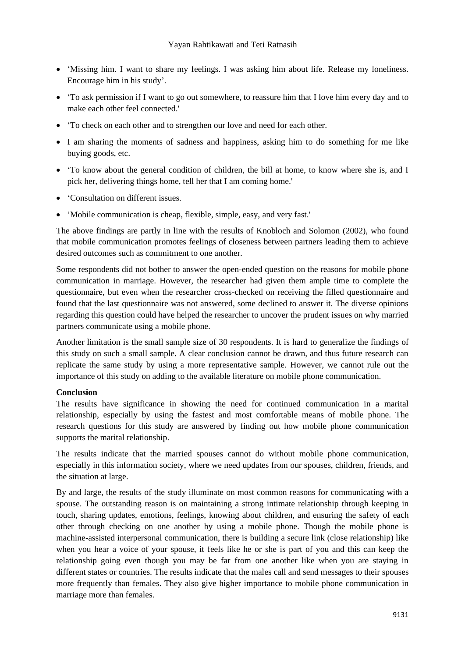- 'Missing him. I want to share my feelings. I was asking him about life. Release my loneliness. Encourage him in his study'.
- 'To ask permission if I want to go out somewhere, to reassure him that I love him every day and to make each other feel connected.'
- 'To check on each other and to strengthen our love and need for each other.
- I am sharing the moments of sadness and happiness, asking him to do something for me like buying goods, etc.
- 'To know about the general condition of children, the bill at home, to know where she is, and I pick her, delivering things home, tell her that I am coming home.'
- 'Consultation on different issues.
- 'Mobile communication is cheap, flexible, simple, easy, and very fast.'

The above findings are partly in line with the results of Knobloch and Solomon (2002), who found that mobile communication promotes feelings of closeness between partners leading them to achieve desired outcomes such as commitment to one another.

Some respondents did not bother to answer the open-ended question on the reasons for mobile phone communication in marriage. However, the researcher had given them ample time to complete the questionnaire, but even when the researcher cross-checked on receiving the filled questionnaire and found that the last questionnaire was not answered, some declined to answer it. The diverse opinions regarding this question could have helped the researcher to uncover the prudent issues on why married partners communicate using a mobile phone.

Another limitation is the small sample size of 30 respondents. It is hard to generalize the findings of this study on such a small sample. A clear conclusion cannot be drawn, and thus future research can replicate the same study by using a more representative sample. However, we cannot rule out the importance of this study on adding to the available literature on mobile phone communication.

#### **Conclusion**

The results have significance in showing the need for continued communication in a marital relationship, especially by using the fastest and most comfortable means of mobile phone. The research questions for this study are answered by finding out how mobile phone communication supports the marital relationship.

The results indicate that the married spouses cannot do without mobile phone communication, especially in this information society, where we need updates from our spouses, children, friends, and the situation at large.

By and large, the results of the study illuminate on most common reasons for communicating with a spouse. The outstanding reason is on maintaining a strong intimate relationship through keeping in touch, sharing updates, emotions, feelings, knowing about children, and ensuring the safety of each other through checking on one another by using a mobile phone. Though the mobile phone is machine-assisted interpersonal communication, there is building a secure link (close relationship) like when you hear a voice of your spouse, it feels like he or she is part of you and this can keep the relationship going even though you may be far from one another like when you are staying in different states or countries. The results indicate that the males call and send messages to their spouses more frequently than females. They also give higher importance to mobile phone communication in marriage more than females.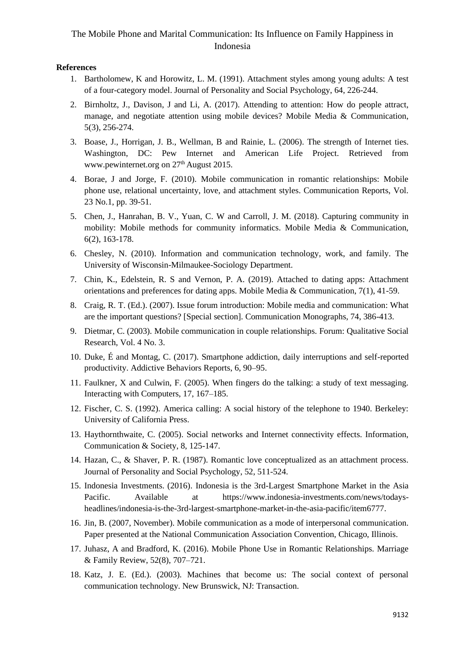### **References**

- 1. Bartholomew, K and Horowitz, L. M. (1991). Attachment styles among young adults: A test of a four-category model. Journal of Personality and Social Psychology, 64, 226-244.
- 2. Birnholtz, J., Davison, J and Li, A. (2017). Attending to attention: How do people attract, manage, and negotiate attention using mobile devices? Mobile Media & Communication, 5(3), 256-274.
- 3. Boase, J., Horrigan, J. B., Wellman, B and Rainie, L. (2006). The strength of Internet ties. Washington, DC: Pew Internet and American Life Project. Retrieved from [www.pewinternet.org](http://www.pewinternet.org/) on 27<sup>th</sup> August 2015.
- 4. Borae, J and Jorge, F. (2010). Mobile communication in romantic relationships: Mobile phone use, relational uncertainty, love, and attachment styles. Communication Reports, Vol. 23 No.1, pp. 39-51.
- 5. Chen, J., Hanrahan, B. V., Yuan, C. W and Carroll, J. M. (2018). Capturing community in mobility: Mobile methods for community informatics. Mobile Media & Communication, 6(2), 163-178.
- 6. Chesley, N. (2010). Information and communication technology, work, and family. The University of Wisconsin-Milmaukee-Sociology Department.
- 7. Chin, K., Edelstein, R. S and Vernon, P. A. (2019). Attached to dating apps: Attachment orientations and preferences for dating apps. Mobile Media & Communication, 7(1), 41-59.
- 8. Craig, R. T. (Ed.). (2007). Issue forum introduction: Mobile media and communication: What are the important questions? [Special section]. Communication Monographs, 74, 386-413.
- 9. Dietmar, C. (2003). Mobile communication in couple relationships. Forum: Qualitative Social Research, Vol. 4 No. 3.
- 10. Duke, É and Montag, C. (2017). Smartphone addiction, daily interruptions and self-reported productivity. Addictive Behaviors Reports, 6, 90–95.
- 11. Faulkner, X and Culwin, F. (2005). When fingers do the talking: a study of text messaging. Interacting with Computers, 17, 167–185.
- 12. Fischer, C. S. (1992). America calling: A social history of the telephone to 1940. Berkeley: University of California Press.
- 13. Haythornthwaite, C. (2005). Social networks and Internet connectivity effects. Information, Communication & Society, 8, 125-147.
- 14. Hazan, C., & Shaver, P. R. (1987). Romantic love conceptualized as an attachment process. Journal of Personality and Social Psychology, 52, 511-524.
- 15. Indonesia Investments. (2016). Indonesia is the 3rd-Largest Smartphone Market in the Asia Pacific. Available at [https://www.indonesia-investments.com/news/todays](https://www.indonesia-investments.com/news/todays-headlines/indonesia-is-the-3rd-largest-smartphone-market-in-the-asia-pacific/item6777)[headlines/indonesia-is-the-3rd-largest-smartphone-market-in-the-asia-pacific/item6777.](https://www.indonesia-investments.com/news/todays-headlines/indonesia-is-the-3rd-largest-smartphone-market-in-the-asia-pacific/item6777)
- 16. Jin, B. (2007, November). Mobile communication as a mode of interpersonal communication. Paper presented at the National Communication Association Convention, Chicago, Illinois.
- 17. Juhasz, A and Bradford, K. (2016). Mobile Phone Use in Romantic Relationships. Marriage & Family Review, 52(8), 707–721.
- 18. Katz, J. E. (Ed.). (2003). Machines that become us: The social context of personal communication technology. New Brunswick, NJ: Transaction.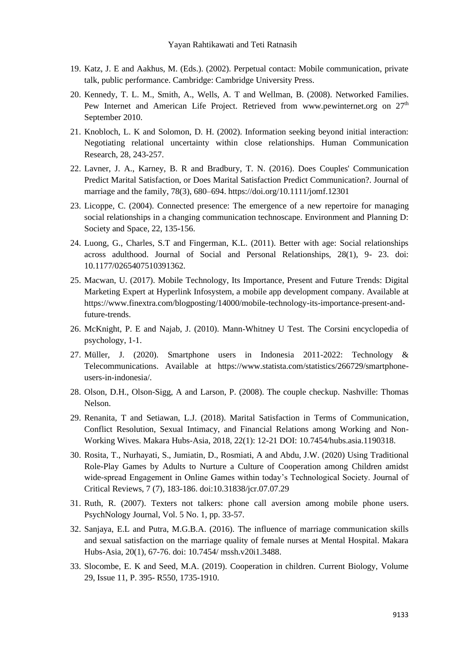- 19. Katz, J. E and Aakhus, M. (Eds.). (2002). Perpetual contact: Mobile communication, private talk, public performance. Cambridge: Cambridge University Press.
- 20. Kennedy, T. L. M., Smith, A., Wells, A. T and Wellman, B. (2008). Networked Families. Pew Internet and American Life Project. Retrieved from www.pewinternet.org on  $27<sup>th</sup>$ September 2010.
- 21. Knobloch, L. K and Solomon, D. H. (2002). Information seeking beyond initial interaction: Negotiating relational uncertainty within close relationships. Human Communication Research, 28, 243-257.
- 22. Lavner, J. A., Karney, B. R and Bradbury, T. N. (2016). Does Couples' Communication Predict Marital Satisfaction, or Does Marital Satisfaction Predict Communication?. Journal of marriage and the family, 78(3), 680–694. https://doi.org/10.1111/jomf.12301
- 23. Licoppe, C. (2004). Connected presence: The emergence of a new repertoire for managing social relationships in a changing communication technoscape. Environment and Planning D: Society and Space, 22, 135-156.
- 24. Luong, G., Charles, S.T and Fingerman, K.L. (2011). Better with age: Social relationships across adulthood. Journal of Social and Personal Relationships, 28(1), 9- 23. doi: 10.1177/0265407510391362.
- 25. Macwan, U. (2017). Mobile Technology, Its Importance, Present and Future Trends: Digital Marketing Expert at Hyperlink Infosystem, a [mobile app development company](https://www.hyperlinkinfosystem.com/). Available at [https://www.finextra.com/blogposting/14000/mobile-technology-its-importance-present-and](https://www.finextra.com/blogposting/14000/mobile-technology-its-importance-present-and-future-trends)[future-trends.](https://www.finextra.com/blogposting/14000/mobile-technology-its-importance-present-and-future-trends)
- 26. McKnight, P. E and Najab, J. (2010). Mann‐Whitney U Test. The Corsini encyclopedia of psychology, 1-1.
- 27. [Müller,](https://www.statista.com/aboutus/our-research-commitment/1781/j-mueller) J. (2020). Smartphone users in Indonesia 2011-2022: [Technology &](https://www.statista.com/markets/418/technology-telecommunications/)  [Telecommunications.](https://www.statista.com/markets/418/technology-telecommunications/) Available at https://www.statista.com/statistics/266729/smartphoneusers-in-indonesia/.
- 28. Olson, D.H., Olson-Sigg, A and Larson, P. (2008). The couple checkup. Nashville: Thomas Nelson.
- 29. Renanita, T and Setiawan, L.J. (2018). Marital Satisfaction in Terms of Communication, Conflict Resolution, Sexual Intimacy, and Financial Relations among Working and Non-Working Wives. Makara Hubs-Asia, 2018, 22(1): 12-21 DOI: 10.7454/hubs.asia.1190318.
- 30. Rosita, T., Nurhayati, S., Jumiatin, D., Rosmiati, A and Abdu, J.W. (2020) Using Traditional Role-Play Games by Adults to Nurture a Culture of Cooperation among Children amidst wide-spread Engagement in Online Games within today's Technological Society. Journal of Critical Reviews, 7 (7), 183-186. [doi:10.31838/jcr.07.07.29](http://dx.doi.org/10.31838/jcr.07.07.29)
- 31. Ruth, R. (2007). Texters not talkers: phone call aversion among mobile phone users. PsychNology Journal, Vol. 5 No. 1, pp. 33-57.
- 32. Sanjaya, E.L and Putra, M.G.B.A. (2016). The influence of marriage communication skills and sexual satisfaction on the marriage quality of female nurses at Mental Hospital. Makara Hubs-Asia, 20(1), 67-76. doi: 10.7454/ mssh.v20i1.3488.
- 33. Slocombe, E. K and Seed, M.A. (2019). Cooperation in children. Current Biology, Volume 29, Issue 11, P. 395- R550, 1735-1910.